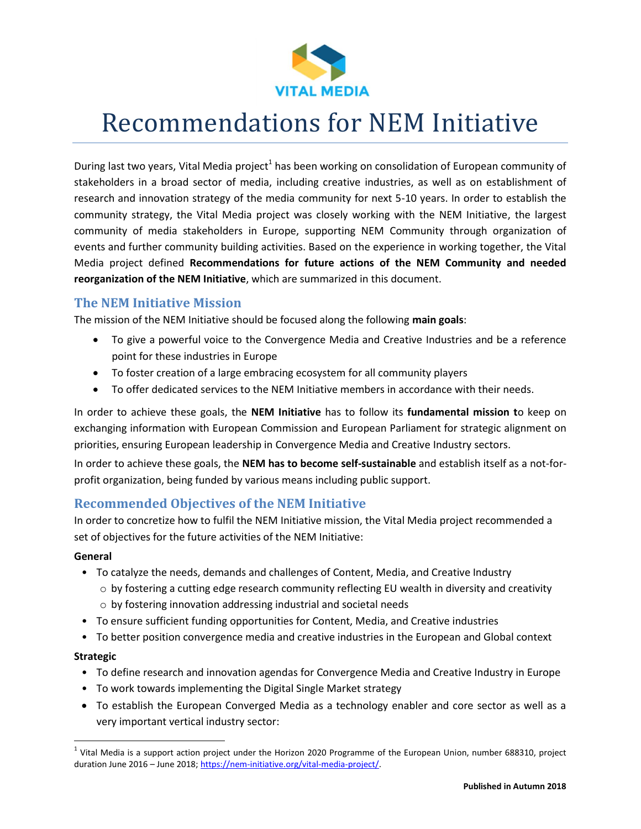

# Recommendations for NEM Initiative

During last two years, Vital Media project<sup>1</sup> has been working on consolidation of European community of stakeholders in a broad sector of media, including creative industries, as well as on establishment of research and innovation strategy of the media community for next 5-10 years. In order to establish the community strategy, the Vital Media project was closely working with the NEM Initiative, the largest community of media stakeholders in Europe, supporting NEM Community through organization of events and further community building activities. Based on the experience in working together, the Vital Media project defined **Recommendations for future actions of the NEM Community and needed reorganization of the NEM Initiative**, which are summarized in this document.

## **The NEM Initiative Mission**

The mission of the NEM Initiative should be focused along the following **main goals**:

- To give a powerful voice to the Convergence Media and Creative Industries and be a reference point for these industries in Europe
- To foster creation of a large embracing ecosystem for all community players
- To offer dedicated services to the NEM Initiative members in accordance with their needs.

In order to achieve these goals, the **NEM Initiative** has to follow its **fundamental mission t**o keep on exchanging information with European Commission and European Parliament for strategic alignment on priorities, ensuring European leadership in Convergence Media and Creative Industry sectors.

In order to achieve these goals, the **NEM has to become self-sustainable** and establish itself as a not-forprofit organization, being funded by various means including public support.

## **Recommended Objectives of the NEM Initiative**

In order to concretize how to fulfil the NEM Initiative mission, the Vital Media project recommended a set of objectives for the future activities of the NEM Initiative:

#### **General**

- To catalyze the needs, demands and challenges of Content, Media, and Creative Industry
	- $\circ$  by fostering a cutting edge research community reflecting EU wealth in diversity and creativity o by fostering innovation addressing industrial and societal needs
- To ensure sufficient funding opportunities for Content, Media, and Creative industries
- To better position convergence media and creative industries in the European and Global context

#### **Strategic**

 $\overline{a}$ 

- To define research and innovation agendas for Convergence Media and Creative Industry in Europe
- To work towards implementing the Digital Single Market strategy
- To establish the European Converged Media as a technology enabler and core sector as well as a very important vertical industry sector:

 $^1$  Vital Media is a support action project under the Horizon 2020 Programme of the European Union, number 688310, project duration June 2016 – June 2018[; https://nem-initiative.org/vital-media-project/.](https://nem-initiative.org/vital-media-project/)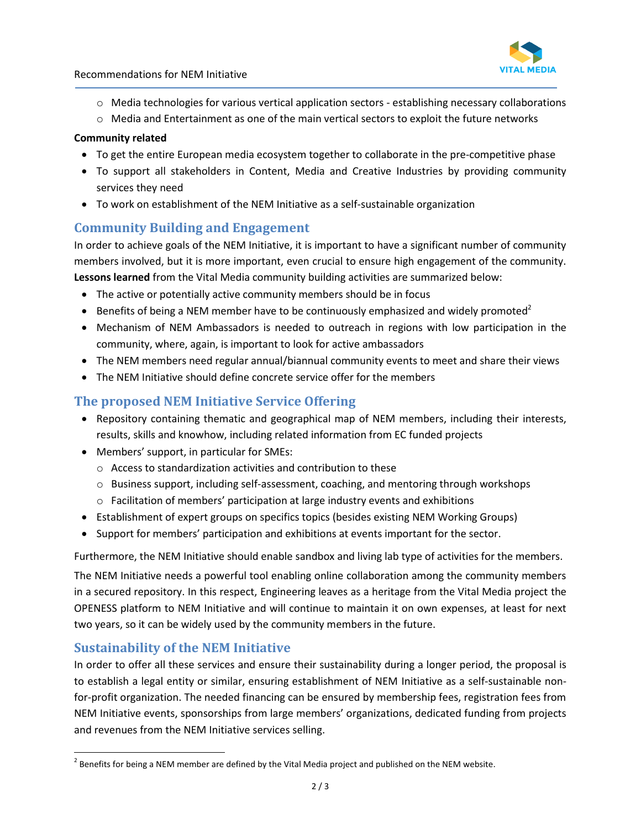

- o Media technologies for various vertical application sectors establishing necessary collaborations
- o Media and Entertainment as one of the main vertical sectors to exploit the future networks

#### **Community related**

- To get the entire European media ecosystem together to collaborate in the pre-competitive phase
- To support all stakeholders in Content, Media and Creative Industries by providing community services they need
- To work on establishment of the NEM Initiative as a self-sustainable organization

## **Community Building and Engagement**

In order to achieve goals of the NEM Initiative, it is important to have a significant number of community members involved, but it is more important, even crucial to ensure high engagement of the community. **Lessons learned** from the Vital Media community building activities are summarized below:

- The active or potentially active community members should be in focus
- **Benefits of being a NEM member have to be continuously emphasized and widely promoted**<sup>2</sup>
- Mechanism of NEM Ambassadors is needed to outreach in regions with low participation in the community, where, again, is important to look for active ambassadors
- The NEM members need regular annual/biannual community events to meet and share their views
- The NEM Initiative should define concrete service offer for the members

## **The proposed NEM Initiative Service Offering**

- Repository containing thematic and geographical map of NEM members, including their interests, results, skills and knowhow, including related information from EC funded projects
- Members' support, in particular for SMEs:
	- o Access to standardization activities and contribution to these
	- $\circ$  Business support, including self-assessment, coaching, and mentoring through workshops
	- o Facilitation of members' participation at large industry events and exhibitions
- Establishment of expert groups on specifics topics (besides existing NEM Working Groups)
- Support for members' participation and exhibitions at events important for the sector.

Furthermore, the NEM Initiative should enable sandbox and living lab type of activities for the members.

The NEM Initiative needs a powerful tool enabling online collaboration among the community members in a secured repository. In this respect, Engineering leaves as a heritage from the Vital Media project the OPENESS platform to NEM Initiative and will continue to maintain it on own expenses, at least for next two years, so it can be widely used by the community members in the future.

## **Sustainability of the NEM Initiative**

 $\overline{a}$ 

In order to offer all these services and ensure their sustainability during a longer period, the proposal is to establish a legal entity or similar, ensuring establishment of NEM Initiative as a self-sustainable nonfor-profit organization. The needed financing can be ensured by membership fees, registration fees from NEM Initiative events, sponsorships from large members' organizations, dedicated funding from projects and revenues from the NEM Initiative services selling.

 $^{2}$  Benefits for being a NEM member are defined by the Vital Media project and published on the NEM website.